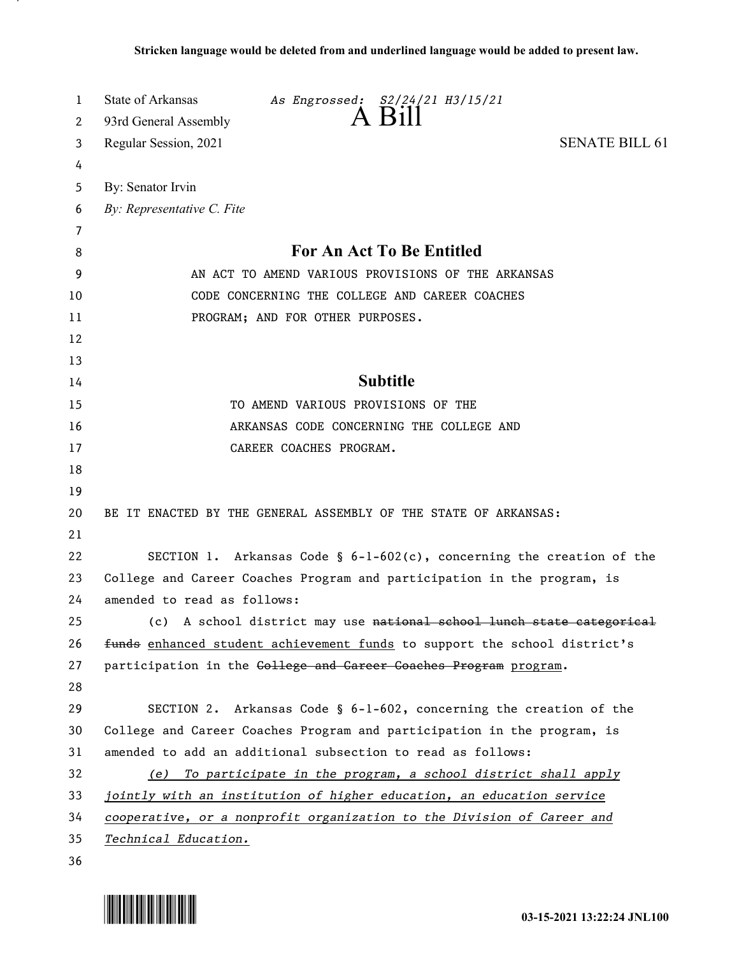| 1        | State of Arkansas<br>As Engrossed: S2/24/21 H3/15/21<br>$A$ $B1$          |
|----------|---------------------------------------------------------------------------|
| 2        | 93rd General Assembly                                                     |
| 3        | <b>SENATE BILL 61</b><br>Regular Session, 2021                            |
| 4        |                                                                           |
| 5        | By: Senator Irvin                                                         |
| 6        | By: Representative C. Fite                                                |
| 7        |                                                                           |
| 8        | For An Act To Be Entitled                                                 |
| 9        | AN ACT TO AMEND VARIOUS PROVISIONS OF THE ARKANSAS                        |
| 10       | CODE CONCERNING THE COLLEGE AND CAREER COACHES                            |
| 11       | PROGRAM; AND FOR OTHER PURPOSES.                                          |
| 12       |                                                                           |
| 13       |                                                                           |
| 14       | <b>Subtitle</b>                                                           |
| 15       | TO AMEND VARIOUS PROVISIONS OF THE                                        |
| 16       | ARKANSAS CODE CONCERNING THE COLLEGE AND                                  |
| 17       | CAREER COACHES PROGRAM.                                                   |
| 18       |                                                                           |
| 19       |                                                                           |
| 20<br>21 | BE IT ENACTED BY THE GENERAL ASSEMBLY OF THE STATE OF ARKANSAS:           |
| 22       | SECTION 1. Arkansas Code § $6-1-602(c)$ , concerning the creation of the  |
| 23       | College and Career Coaches Program and participation in the program, is   |
| 24       | amended to read as follows:                                               |
| 25       | (c) A school district may use national school lunch state categorical     |
| 26       | funds enhanced student achievement funds to support the school district's |
| 27       | participation in the College and Career Coaches Program program.          |
| 28       |                                                                           |
| 29       | SECTION 2. Arkansas Code § 6-1-602, concerning the creation of the        |
| 30       | College and Career Coaches Program and participation in the program, is   |
| 31       | amended to add an additional subsection to read as follows:               |
| 32       | (e) To participate in the program, a school district shall apply          |
| 33       | jointly with an institution of higher education, an education service     |
| 34       | cooperative, or a nonprofit organization to the Division of Career and    |
| 35       | Technical Education.                                                      |
| 36       |                                                                           |

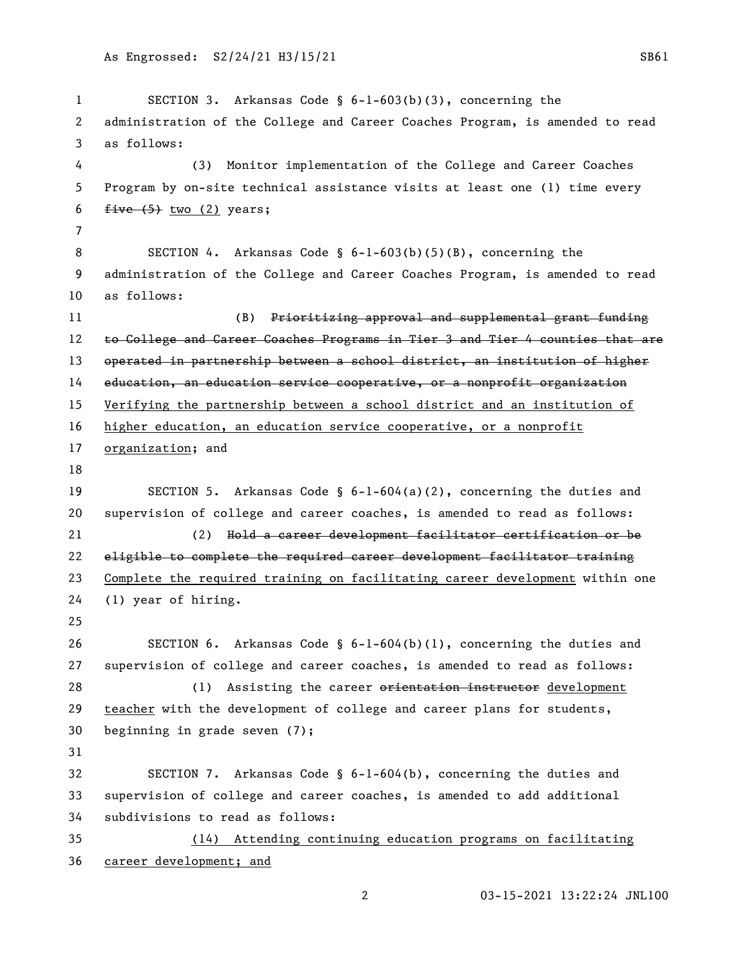```
1 SECTION 3. Arkansas Code § 6-1-603(b)(3), concerning the 
 2 administration of the College and Career Coaches Program, is amended to read 
 3 as follows:
 4 (3) Monitor implementation of the College and Career Coaches 
5 Program by on-site technical assistance visits at least one (1) time every 
6 five (5) two (2) years;7
8 SECTION 4. Arkansas Code § 6-1-603(b)(5)(B), concerning the 
9 administration of the College and Career Coaches Program, is amended to read 
10 as follows:
11 (B) Prioritizing approval and supplemental grant funding
12 to College and Career Coaches Programs in Tier 3 and Tier 4 counties that are
13 operated in partnership between a school district, an institution of higher 
14 education, an education service cooperative, or a nonprofit organization
15 Verifying the partnership between a school district and an institution of 
16 higher education, an education service cooperative, or a nonprofit 
17 organization; and
18
19 SECTION 5. Arkansas Code § 6-1-604(a)(2), concerning the duties and 
20 supervision of college and career coaches, is amended to read as follows:
21 (2) Hold a career development facilitator certification or be 
22 eligible to complete the required career development facilitator training
23 Complete the required training on facilitating career development within one 
24 (1) year of hiring.
25
26 SECTION 6. Arkansas Code § 6-1-604(b)(1), concerning the duties and 
27 supervision of college and career coaches, is amended to read as follows:
28 (1) Assisting the career orientation instructor development
29 teacher with the development of college and career plans for students, 
30 beginning in grade seven (7);
31
32 SECTION 7. Arkansas Code § 6-1-604(b), concerning the duties and 
33 supervision of college and career coaches, is amended to add additional 
34 subdivisions to read as follows:
35 (14) Attending continuing education programs on facilitating 
36 career development; and
```